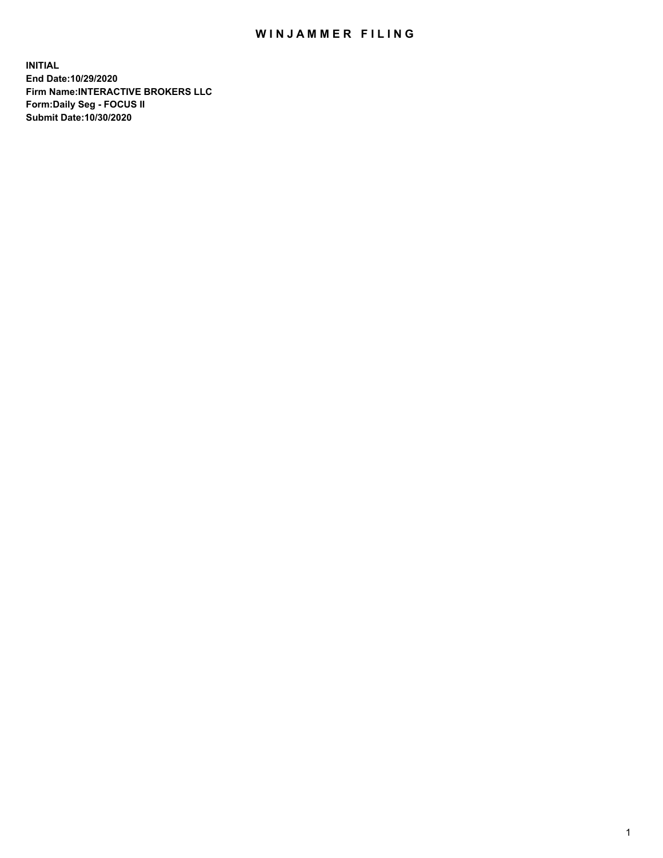## WIN JAMMER FILING

**INITIAL End Date:10/29/2020 Firm Name:INTERACTIVE BROKERS LLC Form:Daily Seg - FOCUS II Submit Date:10/30/2020**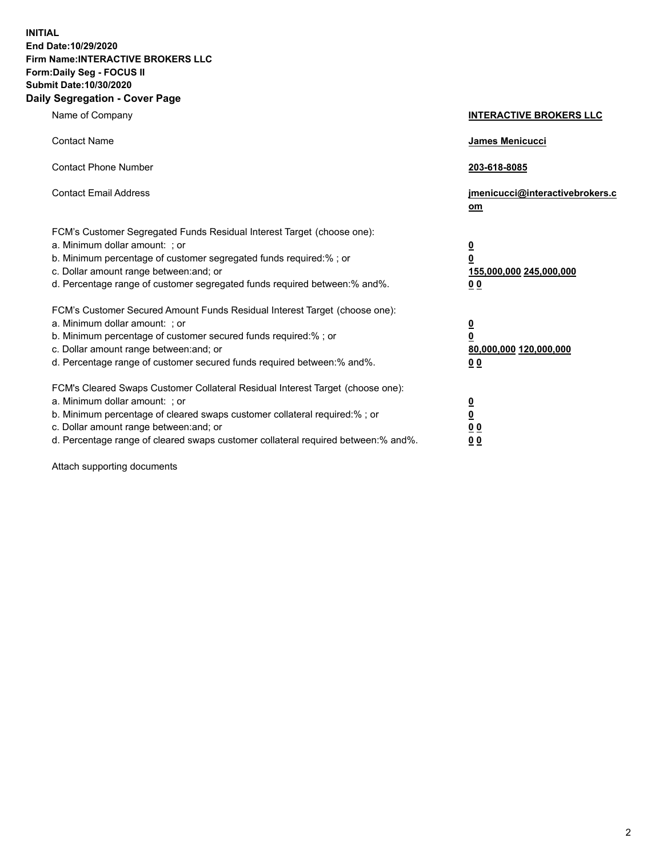**INITIAL End Date:10/29/2020 Firm Name:INTERACTIVE BROKERS LLC Form:Daily Seg - FOCUS II Submit Date:10/30/2020 Daily Segregation - Cover Page**

| Name of Company                                                                                                                                                                                                                                                                                                                | <b>INTERACTIVE BROKERS LLC</b>                                                  |  |
|--------------------------------------------------------------------------------------------------------------------------------------------------------------------------------------------------------------------------------------------------------------------------------------------------------------------------------|---------------------------------------------------------------------------------|--|
| <b>Contact Name</b>                                                                                                                                                                                                                                                                                                            | James Menicucci                                                                 |  |
| <b>Contact Phone Number</b>                                                                                                                                                                                                                                                                                                    | 203-618-8085                                                                    |  |
| <b>Contact Email Address</b>                                                                                                                                                                                                                                                                                                   | jmenicucci@interactivebrokers.c<br>om                                           |  |
| FCM's Customer Segregated Funds Residual Interest Target (choose one):<br>a. Minimum dollar amount: ; or<br>b. Minimum percentage of customer segregated funds required:%; or<br>c. Dollar amount range between: and; or<br>d. Percentage range of customer segregated funds required between:% and%.                          | <u>0</u><br>$\overline{\mathbf{0}}$<br>155,000,000 245,000,000<br><u>00</u>     |  |
| FCM's Customer Secured Amount Funds Residual Interest Target (choose one):<br>a. Minimum dollar amount: ; or<br>b. Minimum percentage of customer secured funds required:% ; or<br>c. Dollar amount range between: and; or<br>d. Percentage range of customer secured funds required between:% and%.                           | <u>0</u><br>$\overline{\mathbf{0}}$<br>80,000,000 120,000,000<br>0 <sub>0</sub> |  |
| FCM's Cleared Swaps Customer Collateral Residual Interest Target (choose one):<br>a. Minimum dollar amount: ; or<br>b. Minimum percentage of cleared swaps customer collateral required:% ; or<br>c. Dollar amount range between: and; or<br>d. Percentage range of cleared swaps customer collateral required between:% and%. | <u>0</u><br>$\underline{\mathbf{0}}$<br>0 <sub>0</sub><br>0 <sub>0</sub>        |  |

Attach supporting documents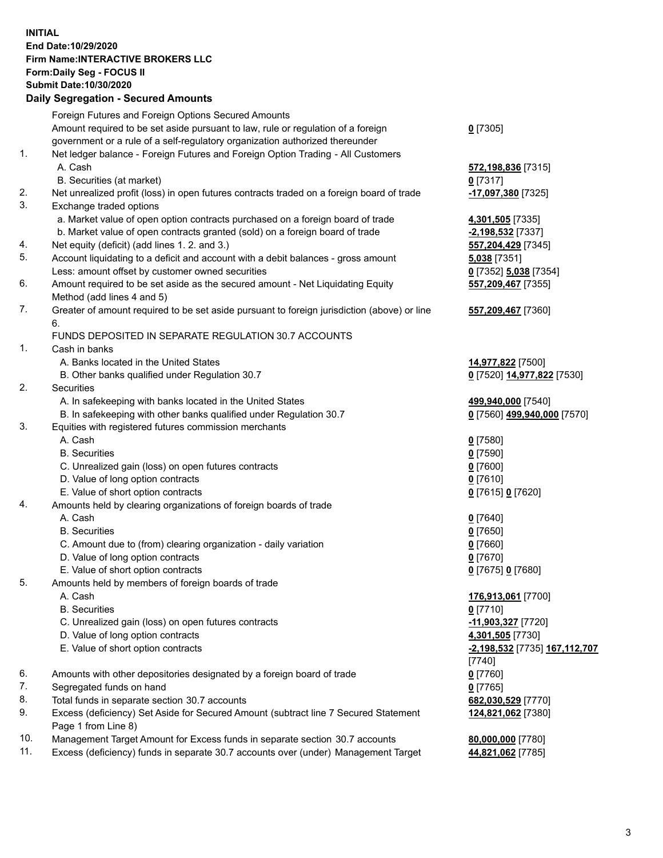**INITIAL End Date:10/29/2020 Firm Name:INTERACTIVE BROKERS LLC Form:Daily Seg - FOCUS II Submit Date:10/30/2020 Daily Segregation - Secured Amounts**

## Foreign Futures and Foreign Options Secured Amounts Amount required to be set aside pursuant to law, rule or regulation of a foreign government or a rule of a self-regulatory organization authorized thereunder **0** [7305] 1. Net ledger balance - Foreign Futures and Foreign Option Trading - All Customers A. Cash **572,198,836** [7315] B. Securities (at market) **0** [7317] 2. Net unrealized profit (loss) in open futures contracts traded on a foreign board of trade **-17,097,380** [7325] 3. Exchange traded options a. Market value of open option contracts purchased on a foreign board of trade **4,301,505** [7335] b. Market value of open contracts granted (sold) on a foreign board of trade **-2,198,532** [7337] 4. Net equity (deficit) (add lines 1. 2. and 3.) **557,204,429** [7345] 5. Account liquidating to a deficit and account with a debit balances - gross amount **5,038** [7351] Less: amount offset by customer owned securities **0** [7352] **5,038** [7354] 6. Amount required to be set aside as the secured amount - Net Liquidating Equity Method (add lines 4 and 5) **557,209,467** [7355] 7. Greater of amount required to be set aside pursuant to foreign jurisdiction (above) or line 6. **557,209,467** [7360] FUNDS DEPOSITED IN SEPARATE REGULATION 30.7 ACCOUNTS 1. Cash in banks A. Banks located in the United States **14,977,822** [7500] B. Other banks qualified under Regulation 30.7 **0** [7520] **14,977,822** [7530] 2. Securities A. In safekeeping with banks located in the United States **499,940,000** [7540] B. In safekeeping with other banks qualified under Regulation 30.7 **0** [7560] **499,940,000** [7570] 3. Equities with registered futures commission merchants A. Cash **0** [7580] B. Securities **0** [7590] C. Unrealized gain (loss) on open futures contracts **0** [7600] D. Value of long option contracts **0** [7610] E. Value of short option contracts **0** [7615] **0** [7620] 4. Amounts held by clearing organizations of foreign boards of trade A. Cash **0** [7640] B. Securities **0** [7650] C. Amount due to (from) clearing organization - daily variation **0** [7660] D. Value of long option contracts **0** [7670] E. Value of short option contracts **0** [7675] **0** [7680] 5. Amounts held by members of foreign boards of trade A. Cash **176,913,061** [7700] B. Securities **0** [7710] C. Unrealized gain (loss) on open futures contracts **-11,903,327** [7720] D. Value of long option contracts **4,301,505** [7730] E. Value of short option contracts **-2,198,532** [7735] **167,112,707** [7740] 6. Amounts with other depositories designated by a foreign board of trade **0** [7760] 7. Segregated funds on hand **0** [7765] 8. Total funds in separate section 30.7 accounts **682,030,529** [7770] 9. Excess (deficiency) Set Aside for Secured Amount (subtract line 7 Secured Statement Page 1 from Line 8) **124,821,062** [7380] 10. Management Target Amount for Excess funds in separate section 30.7 accounts **80,000,000** [7780] 11. Excess (deficiency) funds in separate 30.7 accounts over (under) Management Target **44,821,062** [7785]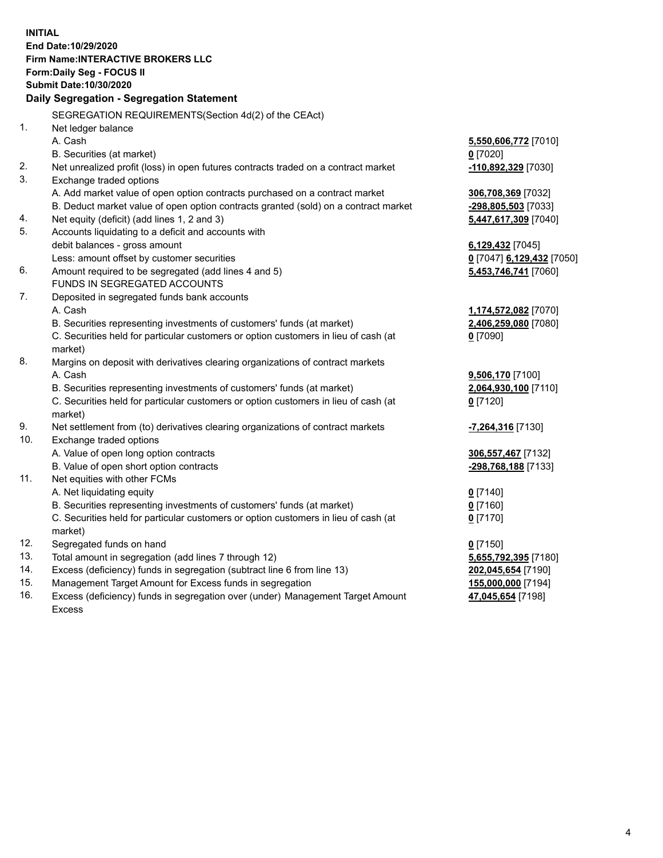**INITIAL End Date:10/29/2020 Firm Name:INTERACTIVE BROKERS LLC Form:Daily Seg - FOCUS II Submit Date:10/30/2020 Daily Segregation - Segregation Statement** SEGREGATION REQUIREMENTS(Section 4d(2) of the CEAct) 1. Net ledger balance A. Cash **5,550,606,772** [7010] B. Securities (at market) **0** [7020] 2. Net unrealized profit (loss) in open futures contracts traded on a contract market **-110,892,329** [7030] 3. Exchange traded options A. Add market value of open option contracts purchased on a contract market **306,708,369** [7032] B. Deduct market value of open option contracts granted (sold) on a contract market **-298,805,503** [7033] 4. Net equity (deficit) (add lines 1, 2 and 3) **5,447,617,309** [7040] 5. Accounts liquidating to a deficit and accounts with debit balances - gross amount **6,129,432** [7045] Less: amount offset by customer securities **0** [7047] **6,129,432** [7050] 6. Amount required to be segregated (add lines 4 and 5) **5,453,746,741** [7060] FUNDS IN SEGREGATED ACCOUNTS 7. Deposited in segregated funds bank accounts A. Cash **1,174,572,082** [7070] B. Securities representing investments of customers' funds (at market) **2,406,259,080** [7080] C. Securities held for particular customers or option customers in lieu of cash (at market) **0** [7090] 8. Margins on deposit with derivatives clearing organizations of contract markets A. Cash **9,506,170** [7100] B. Securities representing investments of customers' funds (at market) **2,064,930,100** [7110] C. Securities held for particular customers or option customers in lieu of cash (at market) **0** [7120] 9. Net settlement from (to) derivatives clearing organizations of contract markets **-7,264,316** [7130] 10. Exchange traded options A. Value of open long option contracts **306,557,467** [7132] B. Value of open short option contracts **-298,768,188** [7133] 11. Net equities with other FCMs A. Net liquidating equity **0** [7140] B. Securities representing investments of customers' funds (at market) **0** [7160] C. Securities held for particular customers or option customers in lieu of cash (at market) **0** [7170] 12. Segregated funds on hand **0** [7150] 13. Total amount in segregation (add lines 7 through 12) **5,655,792,395** [7180] 14. Excess (deficiency) funds in segregation (subtract line 6 from line 13) **202,045,654** [7190] 15. Management Target Amount for Excess funds in segregation **155,000,000** [7194] **47,045,654** [7198]

16. Excess (deficiency) funds in segregation over (under) Management Target Amount Excess